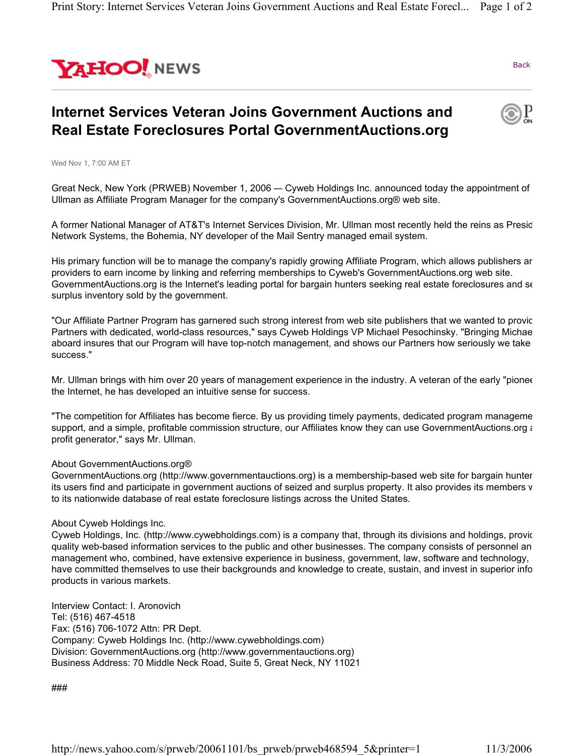

Back

## **Internet Services Veteran Joins Government Auctions and Real Estate Foreclosures Portal GovernmentAuctions.org**



Wed Nov 1, 7:00 AM ET

Great Neck, New York (PRWEB) November 1, 2006 -– Cyweb Holdings Inc. announced today the appointment of Ullman as Affiliate Program Manager for the company's GovernmentAuctions.org® web site.

A former National Manager of AT&T's Internet Services Division, Mr. Ullman most recently held the reins as Presid Network Systems, the Bohemia, NY developer of the Mail Sentry managed email system.

His primary function will be to manage the company's rapidly growing Affiliate Program, which allows publishers an providers to earn income by linking and referring memberships to Cyweb's GovernmentAuctions.org web site. GovernmentAuctions.org is the Internet's leading portal for bargain hunters seeking real estate foreclosures and se surplus inventory sold by the government.

"Our Affiliate Partner Program has garnered such strong interest from web site publishers that we wanted to provic Partners with dedicated, world-class resources," says Cyweb Holdings VP Michael Pesochinsky. "Bringing Michae aboard insures that our Program will have top-notch management, and shows our Partners how seriously we take success."

Mr. Ullman brings with him over 20 years of management experience in the industry. A veteran of the early "pionee the Internet, he has developed an intuitive sense for success.

"The competition for Affiliates has become fierce. By us providing timely payments, dedicated program manageme support, and a simple, profitable commission structure, our Affiliates know they can use GovernmentAuctions.org a profit generator," says Mr. Ullman.

## About GovernmentAuctions.org®

GovernmentAuctions.org (http://www.governmentauctions.org) is a membership-based web site for bargain hunter its users find and participate in government auctions of seized and surplus property. It also provides its members w to its nationwide database of real estate foreclosure listings across the United States.

## About Cyweb Holdings Inc.

Cyweb Holdings, Inc. (http://www.cywebholdings.com) is a company that, through its divisions and holdings, provid quality web-based information services to the public and other businesses. The company consists of personnel an management who, combined, have extensive experience in business, government, law, software and technology, have committed themselves to use their backgrounds and knowledge to create, sustain, and invest in superior info products in various markets.

Interview Contact: I. Aronovich Tel: (516) 467-4518 Fax: (516) 706-1072 Attn: PR Dept. Company: Cyweb Holdings Inc. (http://www.cywebholdings.com) Division: GovernmentAuctions.org (http://www.governmentauctions.org) Business Address: 70 Middle Neck Road, Suite 5, Great Neck, NY 11021

###